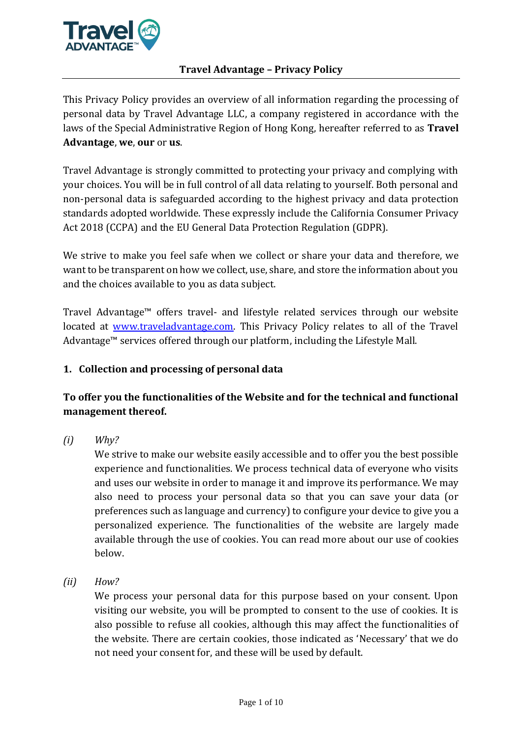

This Privacy Policy provides an overview of all information regarding the processing of personal data by Travel Advantage LLC, a company registered in accordance with the laws of the Special Administrative Region of Hong Kong, hereafter referred to as **Travel Advantage**, **we**, **our** or **us**.

Travel Advantage is strongly committed to protecting your privacy and complying with your choices. You will be in full control of all data relating to yourself. Both personal and non-personal data is safeguarded according to the highest privacy and data protection standards adopted worldwide. These expressly include the California Consumer Privacy Act 2018 (CCPA) and the EU General Data Protection Regulation (GDPR).

We strive to make you feel safe when we collect or share your data and therefore, we want to be transparent on how we collect, use, share, and store the information about you and the choices available to you as data subject.

Travel Advantage™ offers travel- and lifestyle related services through our website located at [www.traveladvantage.com.](http://www.traveladvantage.com/) This Privacy Policy relates to all of the Travel Advantage™ services offered through our platform, including the Lifestyle Mall.

# **1. Collection and processing of personal data**

# **To offer you the functionalities of the Website and for the technical and functional management thereof.**

*(i) Why?*

We strive to make our website easily accessible and to offer you the best possible experience and functionalities. We process technical data of everyone who visits and uses our website in order to manage it and improve its performance. We may also need to process your personal data so that you can save your data (or preferences such as language and currency) to configure your device to give you a personalized experience. The functionalities of the website are largely made available through the use of cookies. You can read more about our use of cookies below.

*(ii) How?*

We process your personal data for this purpose based on your consent. Upon visiting our website, you will be prompted to consent to the use of cookies. It is also possible to refuse all cookies, although this may affect the functionalities of the website. There are certain cookies, those indicated as 'Necessary' that we do not need your consent for, and these will be used by default.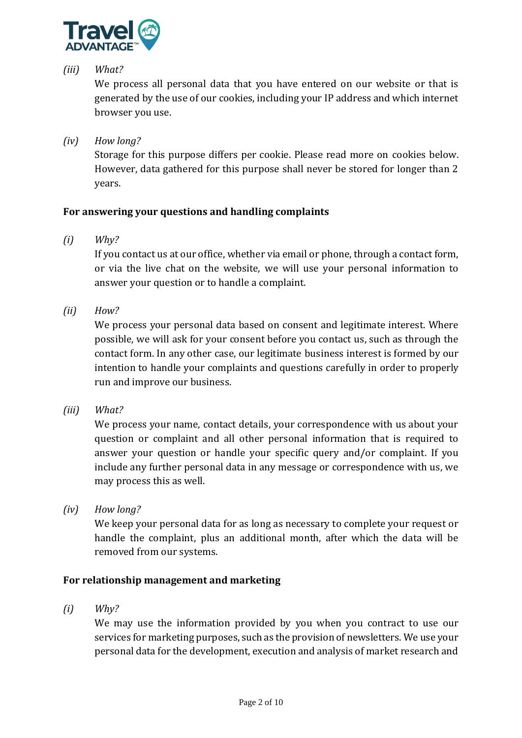

# *(iii) What?*

We process all personal data that you have entered on our website or that is generated by the use of our cookies, including your IP address and which internet browser you use.

*(iv) How long?*

Storage for this purpose differs per cookie. Please read more on cookies below. However, data gathered for this purpose shall never be stored for longer than 2 years.

# **For answering your questions and handling complaints**

*(i) Why?*

If you contact us at our office, whether via email or phone, through a contact form, or via the live chat on the website, we will use your personal information to answer your question or to handle a complaint.

*(ii) How?*

We process your personal data based on consent and legitimate interest. Where possible, we will ask for your consent before you contact us, such as through the contact form. In any other case, our legitimate business interest is formed by our intention to handle your complaints and questions carefully in order to properly run and improve our business.

*(iii) What?*

We process your name, contact details, your correspondence with us about your question or complaint and all other personal information that is required to answer your question or handle your specific query and/or complaint. If you include any further personal data in any message or correspondence with us, we may process this as well.

*(iv) How long?*

We keep your personal data for as long as necessary to complete your request or handle the complaint, plus an additional month, after which the data will be removed from our systems.

### **For relationship management and marketing**

*(i) Why?*

We may use the information provided by you when you contract to use our services for marketing purposes, such as the provision of newsletters. We use your personal data for the development, execution and analysis of market research and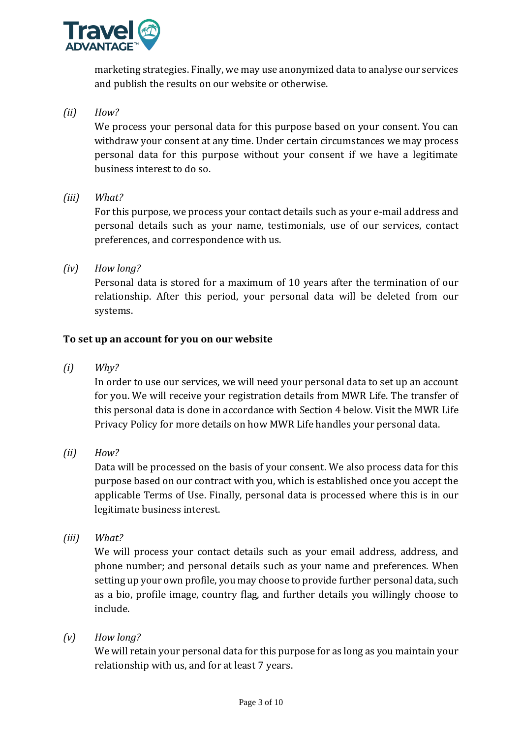

marketing strategies. Finally, we may use anonymized data to analyse our services and publish the results on our website or otherwise.

# *(ii) How?*

We process your personal data for this purpose based on your consent. You can withdraw your consent at any time. Under certain circumstances we may process personal data for this purpose without your consent if we have a legitimate business interest to do so.

*(iii) What?*

For this purpose, we process your contact details such as your e-mail address and personal details such as your name, testimonials, use of our services, contact preferences, and correspondence with us.

*(iv) How long?*

Personal data is stored for a maximum of 10 years after the termination of our relationship. After this period, your personal data will be deleted from our systems.

# **To set up an account for you on our website**

*(i) Why?*

In order to use our services, we will need your personal data to set up an account for you. We will receive your registration details from MWR Life. The transfer of this personal data is done in accordance with Section 4 below. Visit the MWR Life Privacy Policy for more details on how MWR Life handles your personal data.

*(ii) How?*

Data will be processed on the basis of your consent. We also process data for this purpose based on our contract with you, which is established once you accept the applicable Terms of Use. Finally, personal data is processed where this is in our legitimate business interest.

*(iii) What?*

We will process your contact details such as your email address, address, and phone number; and personal details such as your name and preferences. When setting up your own profile, you may choose to provide further personal data, such as a bio, profile image, country flag, and further details you willingly choose to include.

*(v) How long?*

We will retain your personal data for this purpose for as long as you maintain your relationship with us, and for at least 7 years.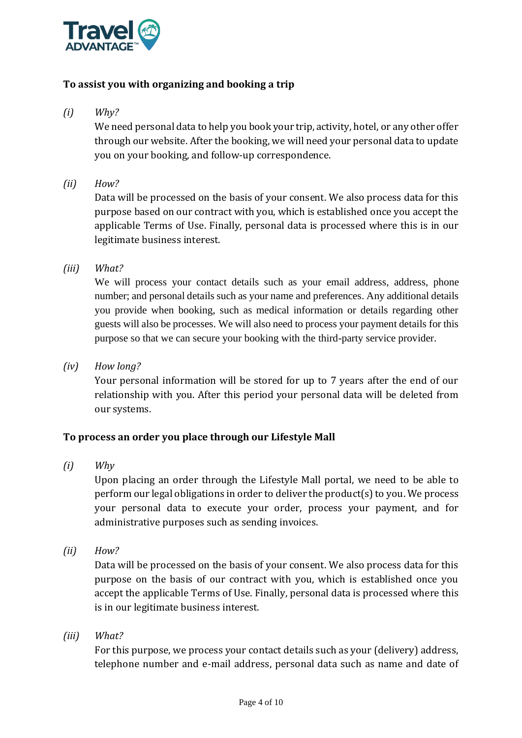

# **To assist you with organizing and booking a trip**

*(i) Why?*

We need personal data to help you book your trip, activity, hotel, or any other offer through our website. After the booking, we will need your personal data to update you on your booking, and follow-up correspondence.

*(ii) How?*

Data will be processed on the basis of your consent. We also process data for this purpose based on our contract with you, which is established once you accept the applicable Terms of Use. Finally, personal data is processed where this is in our legitimate business interest.

*(iii) What?*

We will process your contact details such as your email address, address, phone number; and personal details such as your name and preferences. Any additional details you provide when booking, such as medical information or details regarding other guests will also be processes. We will also need to process your payment details for this purpose so that we can secure your booking with the third-party service provider.

*(iv) How long?*

Your personal information will be stored for up to 7 years after the end of our relationship with you. After this period your personal data will be deleted from our systems.

### **To process an order you place through our Lifestyle Mall**

*(i) Why*

Upon placing an order through the Lifestyle Mall portal, we need to be able to perform our legal obligations in order to deliver the product(s) to you. We process your personal data to execute your order, process your payment, and for administrative purposes such as sending invoices.

*(ii) How?*

Data will be processed on the basis of your consent. We also process data for this purpose on the basis of our contract with you, which is established once you accept the applicable Terms of Use. Finally, personal data is processed where this is in our legitimate business interest.

*(iii) What?*

For this purpose, we process your contact details such as your (delivery) address, telephone number and e-mail address, personal data such as name and date of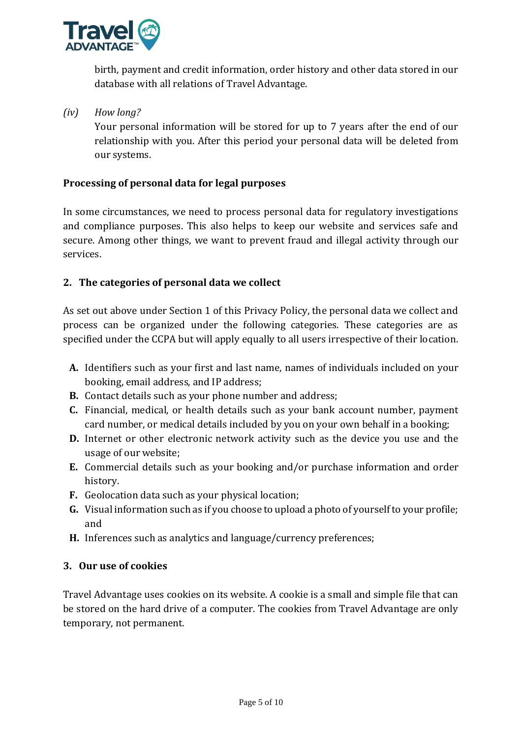

birth, payment and credit information, order history and other data stored in our database with all relations of Travel Advantage.

# *(iv) How long?*

Your personal information will be stored for up to 7 years after the end of our relationship with you. After this period your personal data will be deleted from our systems.

### **Processing of personal data for legal purposes**

In some circumstances, we need to process personal data for regulatory investigations and compliance purposes. This also helps to keep our website and services safe and secure. Among other things, we want to prevent fraud and illegal activity through our services.

# **2. The categories of personal data we collect**

As set out above under Section 1 of this Privacy Policy, the personal data we collect and process can be organized under the following categories. These categories are as specified under the CCPA but will apply equally to all users irrespective of their location.

- **A.** Identifiers such as your first and last name, names of individuals included on your booking, email address, and IP address;
- **B.** Contact details such as your phone number and address;
- **C.** Financial, medical, or health details such as your bank account number, payment card number, or medical details included by you on your own behalf in a booking;
- **D.** Internet or other electronic network activity such as the device you use and the usage of our website;
- **E.** Commercial details such as your booking and/or purchase information and order history.
- **F.** Geolocation data such as your physical location;
- **G.** Visual information such as if you choose to upload a photo of yourself to your profile; and
- **H.** Inferences such as analytics and language/currency preferences;

# **3. Our use of cookies**

Travel Advantage uses cookies on its website. A cookie is a small and simple file that can be stored on the hard drive of a computer. The cookies from Travel Advantage are only temporary, not permanent.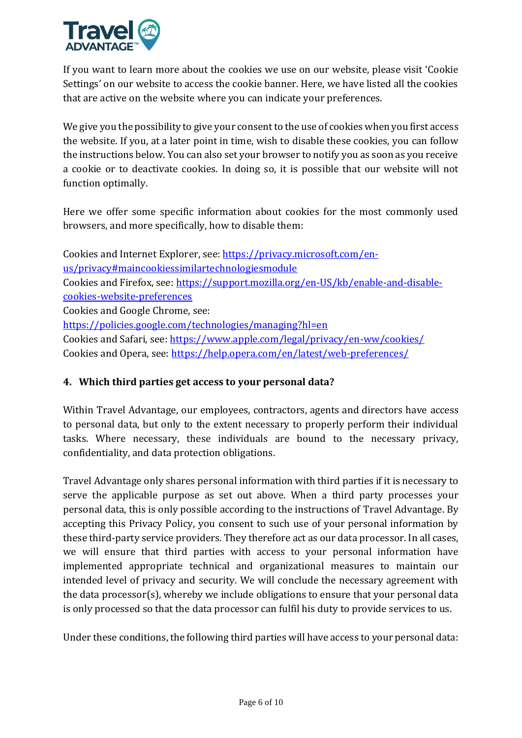

If you want to learn more about the cookies we use on our website, please visit 'Cookie Settings' on our website to access the cookie banner. Here, we have listed all the cookies that are active on the website where you can indicate your preferences.

We give you the possibility to give your consent to the use of cookies when you first access the website. If you, at a later point in time, wish to disable these cookies, you can follow the instructions below. You can also set your browser to notify you as soon as you receive a cookie or to deactivate cookies. In doing so, it is possible that our website will not function optimally.

Here we offer some specific information about cookies for the most commonly used browsers, and more specifically, how to disable them:

Cookies and Internet Explorer, see: [https://privacy.microsoft.com/en](https://privacy.microsoft.com/en-us/privacy#maincookiessimilartechnologiesmodule)[us/privacy#maincookiessimilartechnologiesmodule](https://privacy.microsoft.com/en-us/privacy#maincookiessimilartechnologiesmodule) Cookies and Firefox, see: [https://support.mozilla.org/en-US/kb/enable-and-disable](https://support.mozilla.org/en-US/kb/enable-and-disable-cookies-website-preferences)[cookies-website-preferences](https://support.mozilla.org/en-US/kb/enable-and-disable-cookies-website-preferences) Cookies and Google Chrome, see: <https://policies.google.com/technologies/managing?hl=en> Cookies and Safari, see:<https://www.apple.com/legal/privacy/en-ww/cookies/> Cookies and Opera, see:<https://help.opera.com/en/latest/web-preferences/>

### **4. Which third parties get access to your personal data?**

Within Travel Advantage, our employees, contractors, agents and directors have access to personal data, but only to the extent necessary to properly perform their individual tasks. Where necessary, these individuals are bound to the necessary privacy, confidentiality, and data protection obligations.

Travel Advantage only shares personal information with third parties if it is necessary to serve the applicable purpose as set out above. When a third party processes your personal data, this is only possible according to the instructions of Travel Advantage. By accepting this Privacy Policy, you consent to such use of your personal information by these third-party service providers. They therefore act as our data processor. In all cases, we will ensure that third parties with access to your personal information have implemented appropriate technical and organizational measures to maintain our intended level of privacy and security. We will conclude the necessary agreement with the data processor(s), whereby we include obligations to ensure that your personal data is only processed so that the data processor can fulfil his duty to provide services to us.

Under these conditions, the following third parties will have access to your personal data: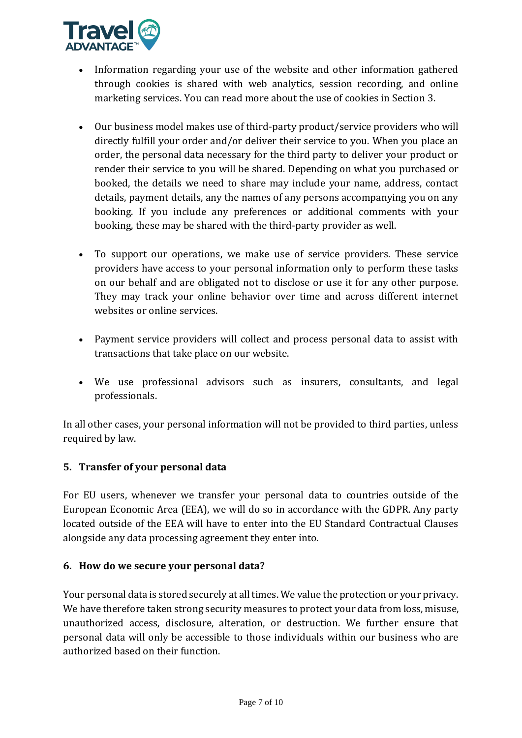

- Information regarding your use of the website and other information gathered through cookies is shared with web analytics, session recording, and online marketing services. You can read more about the use of cookies in Section 3.
- Our business model makes use of third-party product/service providers who will directly fulfill your order and/or deliver their service to you. When you place an order, the personal data necessary for the third party to deliver your product or render their service to you will be shared. Depending on what you purchased or booked, the details we need to share may include your name, address, contact details, payment details, any the names of any persons accompanying you on any booking. If you include any preferences or additional comments with your booking, these may be shared with the third-party provider as well.
- To support our operations, we make use of service providers. These service providers have access to your personal information only to perform these tasks on our behalf and are obligated not to disclose or use it for any other purpose. They may track your online behavior over time and across different internet websites or online services.
- Payment service providers will collect and process personal data to assist with transactions that take place on our website.
- We use professional advisors such as insurers, consultants, and legal professionals.

In all other cases, your personal information will not be provided to third parties, unless required by law.

# **5. Transfer of your personal data**

For EU users, whenever we transfer your personal data to countries outside of the European Economic Area (EEA), we will do so in accordance with the GDPR. Any party located outside of the EEA will have to enter into the EU Standard Contractual Clauses alongside any data processing agreement they enter into.

### **6. How do we secure your personal data?**

Your personal data is stored securely at all times. We value the protection or your privacy. We have therefore taken strong security measures to protect your data from loss, misuse, unauthorized access, disclosure, alteration, or destruction. We further ensure that personal data will only be accessible to those individuals within our business who are authorized based on their function.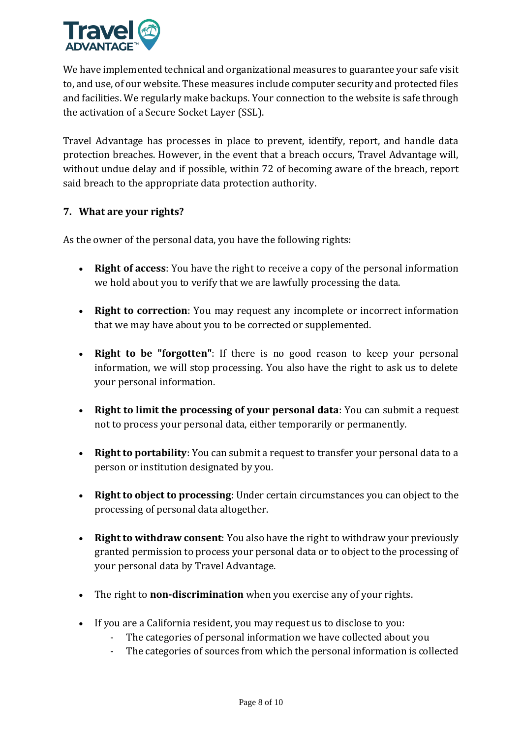

We have implemented technical and organizational measures to guarantee your safe visit to, and use, of our website. These measures include computer security and protected files and facilities. We regularly make backups. Your connection to the website is safe through the activation of a Secure Socket Layer (SSL).

Travel Advantage has processes in place to prevent, identify, report, and handle data protection breaches. However, in the event that a breach occurs, Travel Advantage will, without undue delay and if possible, within 72 of becoming aware of the breach, report said breach to the appropriate data protection authority.

# **7. What are your rights?**

As the owner of the personal data, you have the following rights:

- **Right of access**: You have the right to receive a copy of the personal information we hold about you to verify that we are lawfully processing the data.
- **Right to correction**: You may request any incomplete or incorrect information that we may have about you to be corrected or supplemented.
- **Right to be "forgotten"**: If there is no good reason to keep your personal information, we will stop processing. You also have the right to ask us to delete your personal information.
- **Right to limit the processing of your personal data**: You can submit a request not to process your personal data, either temporarily or permanently.
- **Right to portability**: You can submit a request to transfer your personal data to a person or institution designated by you.
- **Right to object to processing**: Under certain circumstances you can object to the processing of personal data altogether.
- **Right to withdraw consent**: You also have the right to withdraw your previously granted permission to process your personal data or to object to the processing of your personal data by Travel Advantage.
- The right to **non-discrimination** when you exercise any of your rights.
- If you are a California resident, you may request us to disclose to you:
	- The categories of personal information we have collected about you
	- The categories of sources from which the personal information is collected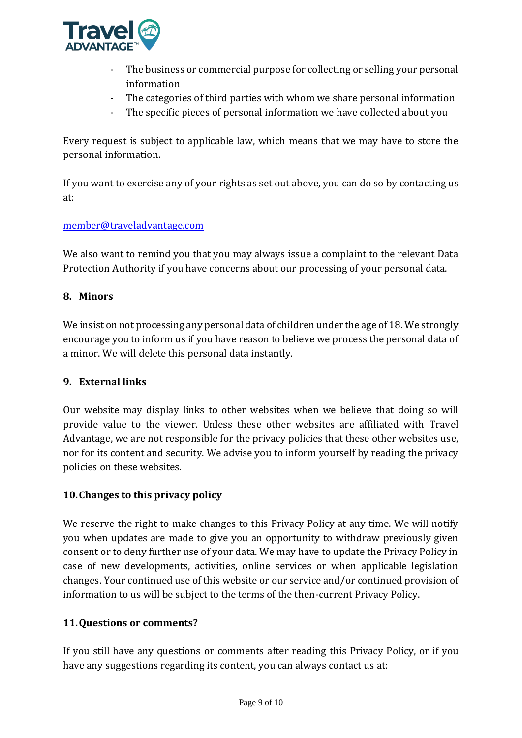

- The business or commercial purpose for collecting or selling your personal information
- The categories of third parties with whom we share personal information
- The specific pieces of personal information we have collected about you

Every request is subject to applicable law, which means that we may have to store the personal information.

If you want to exercise any of your rights as set out above, you can do so by contacting us at:

### [member@traveladvantage.com](mailto:member@traveladvantage.com)

We also want to remind you that you may always issue a complaint to the relevant Data Protection Authority if you have concerns about our processing of your personal data.

### **8. Minors**

We insist on not processing any personal data of children under the age of 18. We strongly encourage you to inform us if you have reason to believe we process the personal data of a minor. We will delete this personal data instantly.

### **9. External links**

Our website may display links to other websites when we believe that doing so will provide value to the viewer. Unless these other websites are affiliated with Travel Advantage, we are not responsible for the privacy policies that these other websites use, nor for its content and security. We advise you to inform yourself by reading the privacy policies on these websites.

### **10.Changes to this privacy policy**

We reserve the right to make changes to this Privacy Policy at any time. We will notify you when updates are made to give you an opportunity to withdraw previously given consent or to deny further use of your data. We may have to update the Privacy Policy in case of new developments, activities, online services or when applicable legislation changes. Your continued use of this website or our service and/or continued provision of information to us will be subject to the terms of the then-current Privacy Policy.

### **11.Questions or comments?**

If you still have any questions or comments after reading this Privacy Policy, or if you have any suggestions regarding its content, you can always contact us at: